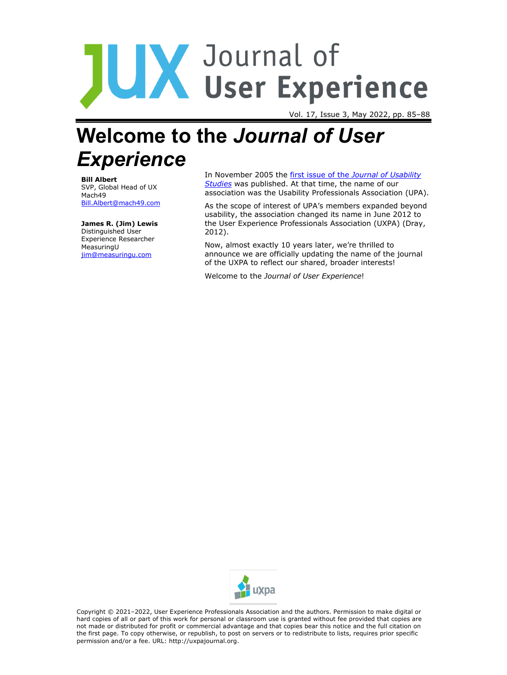# JUX Journal of<br>USer Experience

Vol. 17, Issue 3, May 2022, pp. 85–88

# **Welcome to the** *Journal of User Experience*

**Bill Albert** SVP, Global Head of UX Mach49 [Bill.Albert@mach49.com](about:blank)

**James R. (Jim) Lewis** Distinguished User Experience Researcher MeasuringU [jim@measuringu.com](about:blank)

In November 2005 the first issue of the *[Journal of Usability](https://uxpajournal.org/issue/volume-1-issue-1/)  [Studies](https://uxpajournal.org/issue/volume-1-issue-1/)* was published. At that time, the name of our association was the Usability Professionals Association (UPA).

As the scope of interest of UPA's members expanded beyond usability, the association changed its name in June 2012 to the User Experience Professionals Association (UXPA) (Dray, 2012).

Now, almost exactly 10 years later, we're thrilled to announce we are officially updating the name of the journal of the UXPA to reflect our shared, broader interests!

Welcome to the *Journal of User Experience*!



Copyright © 2021–2022, User Experience Professionals Association and the authors. Permission to make digital or hard copies of all or part of this work for personal or classroom use is granted without fee provided that copies are not made or distributed for profit or commercial advantage and that copies bear this notice and the full citation on the first page. To copy otherwise, or republish, to post on servers or to redistribute to lists, requires prior specific permission and/or a fee. URL: http://uxpajournal.org.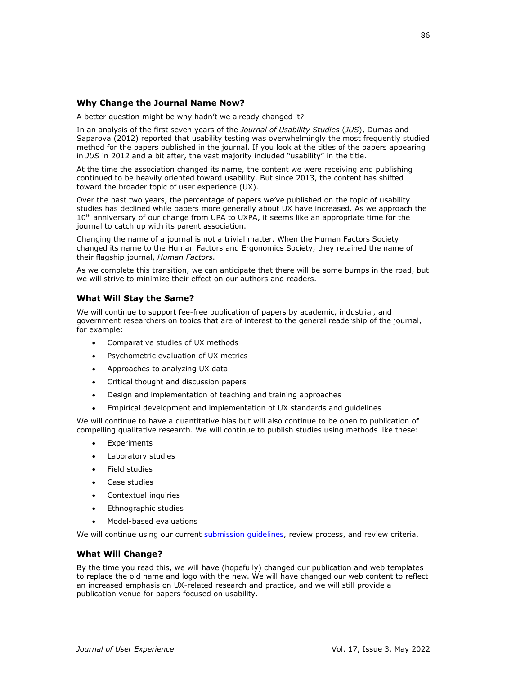## **Why Change the Journal Name Now?**

A better question might be why hadn't we already changed it?

In an analysis of the first seven years of the *Journal of Usability Studies* (*JUS*), Dumas and Saparova (2012) reported that usability testing was overwhelmingly the most frequently studied method for the papers published in the journal. If you look at the titles of the papers appearing in *JUS* in 2012 and a bit after, the vast majority included "usability" in the title.

At the time the association changed its name, the content we were receiving and publishing continued to be heavily oriented toward usability. But since 2013, the content has shifted toward the broader topic of user experience (UX).

Over the past two years, the percentage of papers we've published on the topic of usability studies has declined while papers more generally about UX have increased. As we approach the 10<sup>th</sup> anniversary of our change from UPA to UXPA, it seems like an appropriate time for the journal to catch up with its parent association.

Changing the name of a journal is not a trivial matter. When the Human Factors Society changed its name to the Human Factors and Ergonomics Society, they retained the name of their flagship journal, *Human Factors*.

As we complete this transition, we can anticipate that there will be some bumps in the road, but we will strive to minimize their effect on our authors and readers.

#### **What Will Stay the Same?**

We will continue to support fee-free publication of papers by academic, industrial, and government researchers on topics that are of interest to the general readership of the journal, for example:

- Comparative studies of UX methods
- Psychometric evaluation of UX metrics
- Approaches to analyzing UX data
- Critical thought and discussion papers
- Design and implementation of teaching and training approaches
- Empirical development and implementation of UX standards and guidelines

We will continue to have a quantitative bias but will also continue to be open to publication of compelling qualitative research. We will continue to publish studies using methods like these:

- **Experiments**
- Laboratory studies
- Field studies
- Case studies
- Contextual inquiries
- Ethnographic studies
- Model-based evaluations

We will continue using our current submission quidelines, review process, and review criteria.

#### **What Will Change?**

By the time you read this, we will have (hopefully) changed our publication and web templates to replace the old name and logo with the new. We will have changed our web content to reflect an increased emphasis on UX-related research and practice, and we will still provide a publication venue for papers focused on usability.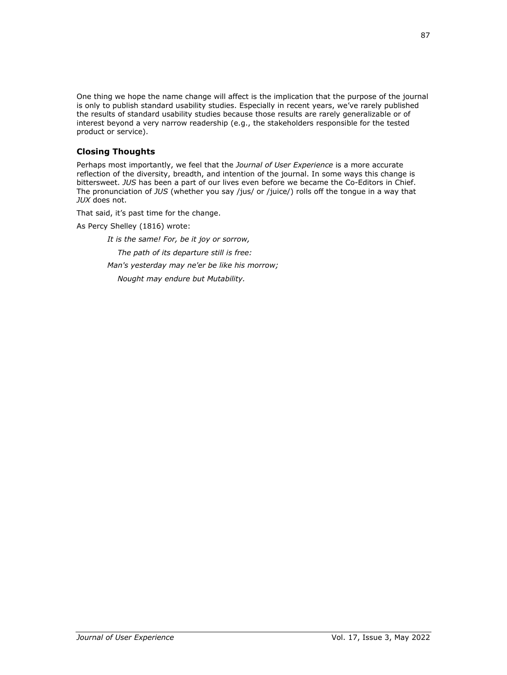One thing we hope the name change will affect is the implication that the purpose of the journal is only to publish standard usability studies. Especially in recent years, we've rarely published the results of standard usability studies because those results are rarely generalizable or of interest beyond a very narrow readership (e.g., the stakeholders responsible for the tested product or service).

# **Closing Thoughts**

Perhaps most importantly, we feel that the *Journal of User Experience* is a more accurate reflection of the diversity, breadth, and intention of the journal. In some ways this change is bittersweet. *JUS* has been a part of our lives even before we became the Co-Editors in Chief. The pronunciation of *JUS* (whether you say /jus/ or /juice/) rolls off the tongue in a way that *JUX* does not.

That said, it's past time for the change.

As Percy Shelley (1816) wrote:

*It is the same! For, be it joy or sorrow, The path of its departure still is free: Man's yesterday may ne'er be like his morrow;*

 *Nought may endure but Mutability.*